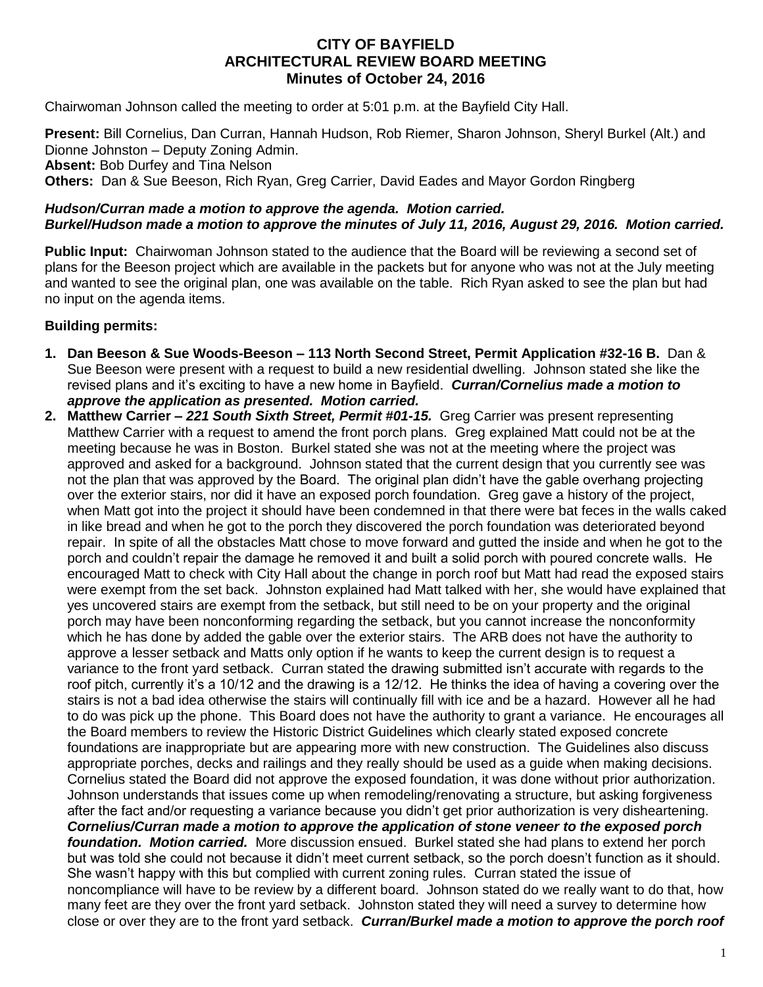## **CITY OF BAYFIELD ARCHITECTURAL REVIEW BOARD MEETING Minutes of October 24, 2016**

Chairwoman Johnson called the meeting to order at 5:01 p.m. at the Bayfield City Hall.

**Present:** Bill Cornelius, Dan Curran, Hannah Hudson, Rob Riemer, Sharon Johnson, Sheryl Burkel (Alt.) and Dionne Johnston – Deputy Zoning Admin.

**Absent:** Bob Durfey and Tina Nelson

**Others:** Dan & Sue Beeson, Rich Ryan, Greg Carrier, David Eades and Mayor Gordon Ringberg

## *Hudson/Curran made a motion to approve the agenda. Motion carried. Burkel/Hudson made a motion to approve the minutes of July 11, 2016, August 29, 2016. Motion carried.*

**Public Input:** Chairwoman Johnson stated to the audience that the Board will be reviewing a second set of plans for the Beeson project which are available in the packets but for anyone who was not at the July meeting and wanted to see the original plan, one was available on the table. Rich Ryan asked to see the plan but had no input on the agenda items.

## **Building permits:**

- **1. Dan Beeson & Sue Woods-Beeson – 113 North Second Street, Permit Application #32-16 B.** Dan & Sue Beeson were present with a request to build a new residential dwelling. Johnson stated she like the revised plans and it's exciting to have a new home in Bayfield. *Curran/Cornelius made a motion to approve the application as presented. Motion carried.*
- **2. Matthew Carrier –** *221 South Sixth Street, Permit #01-15.* Greg Carrier was present representing Matthew Carrier with a request to amend the front porch plans. Greg explained Matt could not be at the meeting because he was in Boston. Burkel stated she was not at the meeting where the project was approved and asked for a background. Johnson stated that the current design that you currently see was not the plan that was approved by the Board. The original plan didn't have the gable overhang projecting over the exterior stairs, nor did it have an exposed porch foundation. Greg gave a history of the project, when Matt got into the project it should have been condemned in that there were bat feces in the walls caked in like bread and when he got to the porch they discovered the porch foundation was deteriorated beyond repair. In spite of all the obstacles Matt chose to move forward and gutted the inside and when he got to the porch and couldn't repair the damage he removed it and built a solid porch with poured concrete walls. He encouraged Matt to check with City Hall about the change in porch roof but Matt had read the exposed stairs were exempt from the set back. Johnston explained had Matt talked with her, she would have explained that yes uncovered stairs are exempt from the setback, but still need to be on your property and the original porch may have been nonconforming regarding the setback, but you cannot increase the nonconformity which he has done by added the gable over the exterior stairs. The ARB does not have the authority to approve a lesser setback and Matts only option if he wants to keep the current design is to request a variance to the front yard setback. Curran stated the drawing submitted isn't accurate with regards to the roof pitch, currently it's a 10/12 and the drawing is a 12/12. He thinks the idea of having a covering over the stairs is not a bad idea otherwise the stairs will continually fill with ice and be a hazard. However all he had to do was pick up the phone. This Board does not have the authority to grant a variance. He encourages all the Board members to review the Historic District Guidelines which clearly stated exposed concrete foundations are inappropriate but are appearing more with new construction. The Guidelines also discuss appropriate porches, decks and railings and they really should be used as a guide when making decisions. Cornelius stated the Board did not approve the exposed foundation, it was done without prior authorization. Johnson understands that issues come up when remodeling/renovating a structure, but asking forgiveness after the fact and/or requesting a variance because you didn't get prior authorization is very disheartening. *Cornelius/Curran made a motion to approve the application of stone veneer to the exposed porch foundation. Motion carried.* More discussion ensued. Burkel stated she had plans to extend her porch but was told she could not because it didn't meet current setback, so the porch doesn't function as it should. She wasn't happy with this but complied with current zoning rules. Curran stated the issue of noncompliance will have to be review by a different board. Johnson stated do we really want to do that, how many feet are they over the front yard setback. Johnston stated they will need a survey to determine how close or over they are to the front yard setback. *Curran/Burkel made a motion to approve the porch roof*